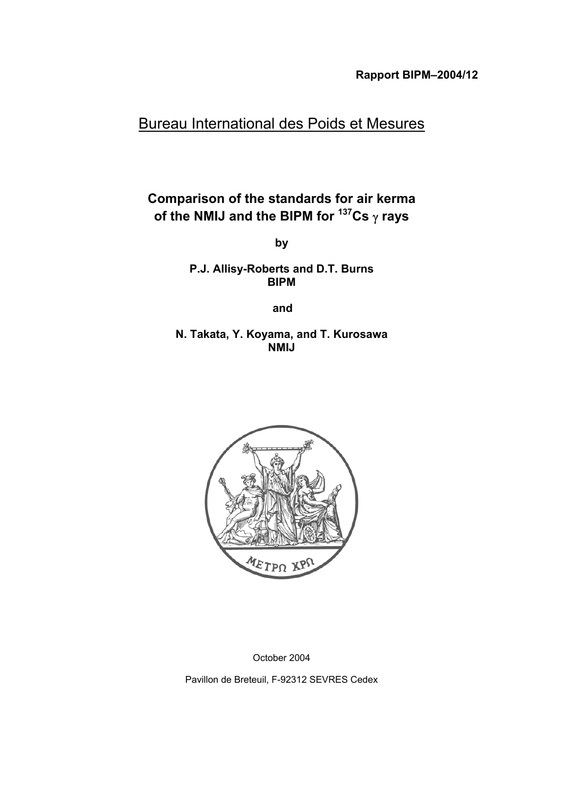# Bureau International des Poids et Mesures

# **Comparison of the standards for air kerma of the NMIJ and the BIPM for 137Cs** γ **rays**

**by**

**P.J. Allisy-Roberts and D.T. Burns BIPM**

**and**

**N. Takata, Y. Koyama, and T. Kurosawa NMIJ**



October 2004

Pavillon de Breteuil, F-92312 SEVRES Cedex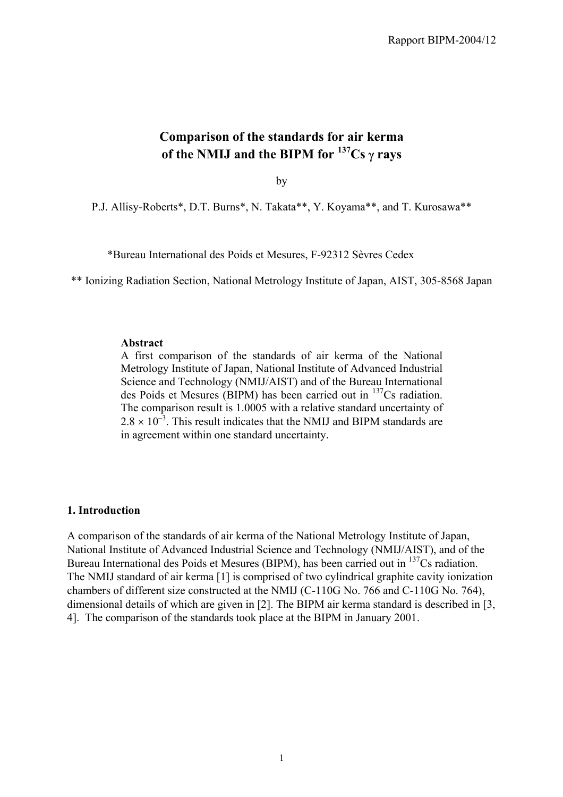# **Comparison of the standards for air kerma of the NMIJ and the BIPM for 137Cs** γ **rays**

by

P.J. Allisy-Roberts\*, D.T. Burns\*, N. Takata\*\*, Y. Koyama\*\*, and T. Kurosawa\*\*

\*Bureau International des Poids et Mesures, F-92312 Sèvres Cedex

\*\* Ionizing Radiation Section, National Metrology Institute of Japan, AIST, 305-8568 Japan

#### **Abstract**

A first comparison of the standards of air kerma of the National Metrology Institute of Japan, National Institute of Advanced Industrial Science and Technology (NMIJ/AIST) and of the Bureau International des Poids et Mesures (BIPM) has been carried out in 137Cs radiation. The comparison result is 1.0005 with a relative standard uncertainty of  $2.8 \times 10^{-3}$ . This result indicates that the NMIJ and BIPM standards are in agreement within one standard uncertainty.

#### **1. Introduction**

A comparison of the standards of air kerma of the National Metrology Institute of Japan, National Institute of Advanced Industrial Science and Technology (NMIJ/AIST), and of the Bureau International des Poids et Mesures (BIPM), has been carried out in <sup>137</sup>Cs radiation. The NMIJ standard of air kerma [1] is comprised of two cylindrical graphite cavity ionization chambers of different size constructed at the NMIJ (C-110G No. 766 and C-110G No. 764), dimensional details of which are given in [2]. The BIPM air kerma standard is described in [3, 4]. The comparison of the standards took place at the BIPM in January 2001.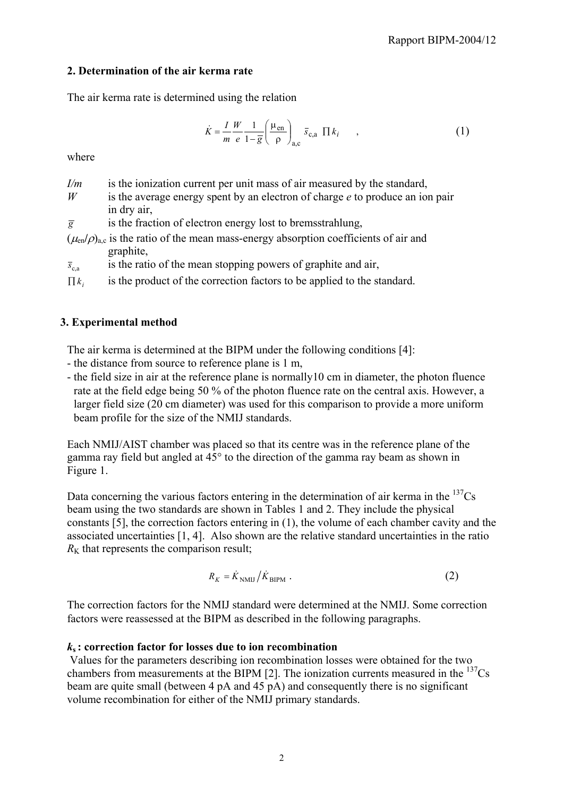### **2. Determination of the air kerma rate**

The air kerma rate is determined using the relation

$$
\dot{K} = \frac{I}{m} \frac{W}{e} \frac{1}{1 - \overline{g}} \left( \frac{\mu_{\text{en}}}{\rho} \right)_{\text{a,c}} \overline{s}_{\text{c,a}} \Pi k_i \quad , \tag{1}
$$

where

| I/m |  | is the ionization current per unit mass of air measured by the standard, |
|-----|--|--------------------------------------------------------------------------|
|     |  |                                                                          |

- *W* is the average energy spent by an electron of charge *e* to produce an ion pair in dry air,
- $\overline{g}$  is the fraction of electron energy lost to bremsstrahlung,
- $(\mu_{en}/\rho)_{a,c}$  is the ratio of the mean mass-energy absorption coefficients of air and graphite,
- $\bar{s}_{\text{ca}}$  is the ratio of the mean stopping powers of graphite and air,

 $\prod k_i$  is the product of the correction factors to be applied to the standard.

## **3. Experimental method**

The air kerma is determined at the BIPM under the following conditions [4]:

- the distance from source to reference plane is 1 m,
- the field size in air at the reference plane is normally10 cm in diameter, the photon fluence rate at the field edge being 50 % of the photon fluence rate on the central axis. However, a larger field size (20 cm diameter) was used for this comparison to provide a more uniform beam profile for the size of the NMIJ standards.

Each NMIJ/AIST chamber was placed so that its centre was in the reference plane of the gamma ray field but angled at 45° to the direction of the gamma ray beam as shown in Figure 1.

Data concerning the various factors entering in the determination of air kerma in the  $^{137}Cs$ beam using the two standards are shown in Tables 1 and 2. They include the physical constants [5], the correction factors entering in (1), the volume of each chamber cavity and the associated uncertainties [1, 4]. Also shown are the relative standard uncertainties in the ratio  $R<sub>K</sub>$  that represents the comparison result;

$$
R_K = \dot{K}_{\text{NMIJ}} / \dot{K}_{\text{BIPM}} \tag{2}
$$

The correction factors for the NMIJ standard were determined at the NMIJ. Some correction factors were reassessed at the BIPM as described in the following paragraphs.

### *k***s : correction factor for losses due to ion recombination**

 Values for the parameters describing ion recombination losses were obtained for the two chambers from measurements at the BIPM [2]. The ionization currents measured in the  $^{137}Cs$ beam are quite small (between 4 pA and 45 pA) and consequently there is no significant volume recombination for either of the NMIJ primary standards.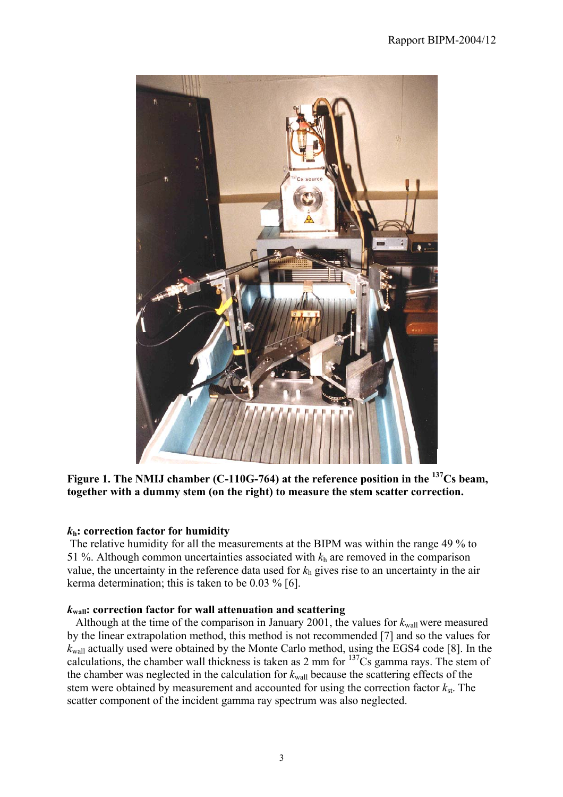

**Figure 1. The NMIJ chamber (C-110G-764) at the reference position in the 137Cs beam, together with a dummy stem (on the right) to measure the stem scatter correction.**

### *k***h: correction factor for humidity**

 The relative humidity for all the measurements at the BIPM was within the range 49 % to 51 %. Although common uncertainties associated with  $k<sub>h</sub>$  are removed in the comparison value, the uncertainty in the reference data used for *k*h gives rise to an uncertainty in the air kerma determination; this is taken to be 0.03 % [6].

### *k***wall: correction factor for wall attenuation and scattering**

Although at the time of the comparison in January 2001, the values for  $k_{\text{wall}}$  were measured by the linear extrapolation method, this method is not recommended [7] and so the values for *k*wall actually used were obtained by the Monte Carlo method, using the EGS4 code [8]. In the calculations, the chamber wall thickness is taken as 2 mm for  $137<sup>2</sup>Cs$  gamma rays. The stem of the chamber was neglected in the calculation for  $k_{wall}$  because the scattering effects of the stem were obtained by measurement and accounted for using the correction factor  $k_{st}$ . The scatter component of the incident gamma ray spectrum was also neglected.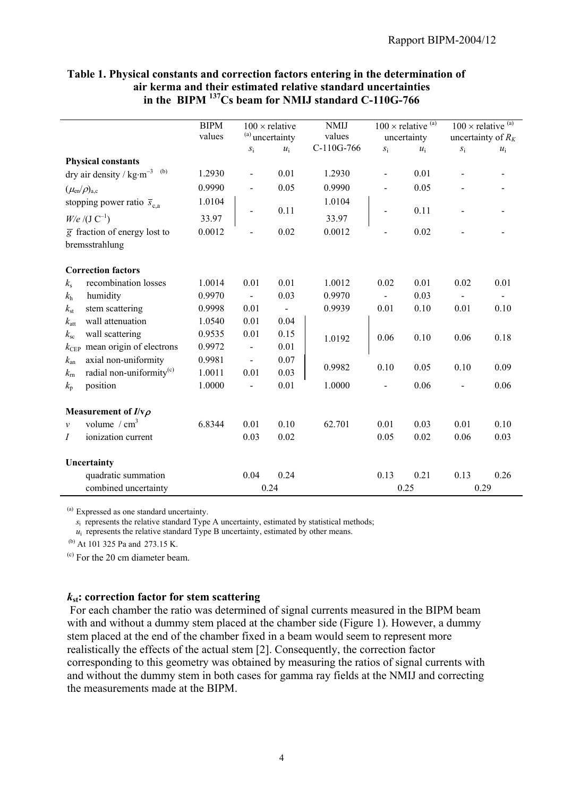|                                 |                                              | <b>BIPM</b><br>values | $S_{\rm i}$                  | $100 \times$ relative<br><sup>(a)</sup> uncertainty<br>$u_i$ | <b>NMIJ</b><br>values<br>C-110G-766 | $\boldsymbol{S}_{1}$ | $100 \times$ relative $(a)$<br>uncertainty<br>$u_i$ | $S_1^+$ | $100 \times$ relative $(a)$<br>uncertainty of $R_K$<br>$u_i$ |
|---------------------------------|----------------------------------------------|-----------------------|------------------------------|--------------------------------------------------------------|-------------------------------------|----------------------|-----------------------------------------------------|---------|--------------------------------------------------------------|
|                                 | <b>Physical constants</b>                    |                       |                              |                                                              |                                     |                      |                                                     |         |                                                              |
|                                 | dry air density / $kg·m^{-3}$ <sup>(b)</sup> | 1.2930                | $\qquad \qquad \blacksquare$ | 0.01                                                         | 1.2930                              |                      | 0.01                                                |         |                                                              |
| $(\mu_{\rm en}/\rho)_{\rm a.c}$ |                                              | 0.9990                |                              | 0.05                                                         | 0.9990                              |                      | 0.05                                                |         |                                                              |
|                                 | stopping power ratio $\overline{s}_{c,a}$    | 1.0104                |                              |                                                              | 1.0104                              |                      |                                                     |         |                                                              |
|                                 | $W/e / (J C^{-1})$                           | 33.97                 |                              | 0.11                                                         | 33.97                               |                      | 0.11                                                |         |                                                              |
|                                 | $\overline{g}$ fraction of energy lost to    | 0.0012                |                              | 0.02                                                         | 0.0012                              |                      | 0.02                                                |         |                                                              |
|                                 | bremsstrahlung                               |                       |                              |                                                              |                                     |                      |                                                     |         |                                                              |
|                                 | <b>Correction factors</b>                    |                       |                              |                                                              |                                     |                      |                                                     |         |                                                              |
| $k_{\rm s}$                     | recombination losses                         | 1.0014                | 0.01                         | 0.01                                                         | 1.0012                              | 0.02                 | 0.01                                                | 0.02    | 0.01                                                         |
| $k_{\rm h}$                     | humidity                                     | 0.9970                |                              | 0.03                                                         | 0.9970                              |                      | 0.03                                                |         |                                                              |
| $k_{\rm st}$                    | stem scattering                              | 0.9998                | 0.01                         | $\blacksquare$                                               | 0.9939                              | 0.01                 | 0.10                                                | 0.01    | 0.10                                                         |
| $k_{\rm att}$                   | wall attenuation                             | 1.0540                | 0.01                         | 0.04                                                         |                                     |                      |                                                     |         |                                                              |
| $k_{\rm sc}$                    | wall scattering                              | 0.9535                | 0.01                         | 0.15                                                         | 1.0192                              | 0.06                 | 0.10                                                | 0.06    | 0.18                                                         |
| $k_{\rm CEP}$                   | mean origin of electrons                     | 0.9972                |                              | 0.01                                                         |                                     |                      |                                                     |         |                                                              |
| $k_{\rm an}$                    | axial non-uniformity                         | 0.9981                | $\blacksquare$               | 0.07                                                         |                                     |                      |                                                     |         |                                                              |
| $k_{\rm rn}$                    | radial non-uniformity <sup>(c)</sup>         | 1.0011                | 0.01                         | 0.03                                                         | 0.9982                              | 0.10                 | 0.05                                                | 0.10    | 0.09                                                         |
| $k_{p}$                         | position                                     | 1.0000                | $\overline{\phantom{a}}$     | 0.01                                                         | 1.0000                              |                      | 0.06                                                |         | 0.06                                                         |
|                                 | Measurement of $I/v\rho$                     |                       |                              |                                                              |                                     |                      |                                                     |         |                                                              |
| $\mathcal{V}$                   | volume $\ / \ \text{cm}^3$                   | 6.8344                | 0.01                         | 0.10                                                         | 62.701                              | 0.01                 | 0.03                                                | 0.01    | 0.10                                                         |
| I                               | ionization current                           |                       | 0.03                         | 0.02                                                         |                                     | 0.05                 | 0.02                                                | 0.06    | 0.03                                                         |
| Uncertainty                     |                                              |                       |                              |                                                              |                                     |                      |                                                     |         |                                                              |
|                                 | quadratic summation                          |                       | 0.04                         | 0.24                                                         |                                     | 0.13                 | 0.21                                                | 0.13    | 0.26                                                         |
|                                 | combined uncertainty                         |                       |                              | 0.24                                                         |                                     |                      | 0.25                                                | 0.29    |                                                              |

#### **Table 1. Physical constants and correction factors entering in the determination of air kerma and their estimated relative standard uncertainties in the BIPM 137Cs beam for NMIJ standard C-110G-766**

(a) Expressed as one standard uncertainty.

*s*<sub>i</sub> represents the relative standard Type A uncertainty, estimated by statistical methods;

 $u_i$  represents the relative standard Type B uncertainty, estimated by other means.

(b) At 101 325 Pa and 273.15 K.

 $<sup>(c)</sup>$  For the 20 cm diameter beam.</sup>

#### *k***st: correction factor for stem scattering**

 For each chamber the ratio was determined of signal currents measured in the BIPM beam with and without a dummy stem placed at the chamber side (Figure 1). However, a dummy stem placed at the end of the chamber fixed in a beam would seem to represent more realistically the effects of the actual stem [2]. Consequently, the correction factor corresponding to this geometry was obtained by measuring the ratios of signal currents with and without the dummy stem in both cases for gamma ray fields at the NMIJ and correcting the measurements made at the BIPM.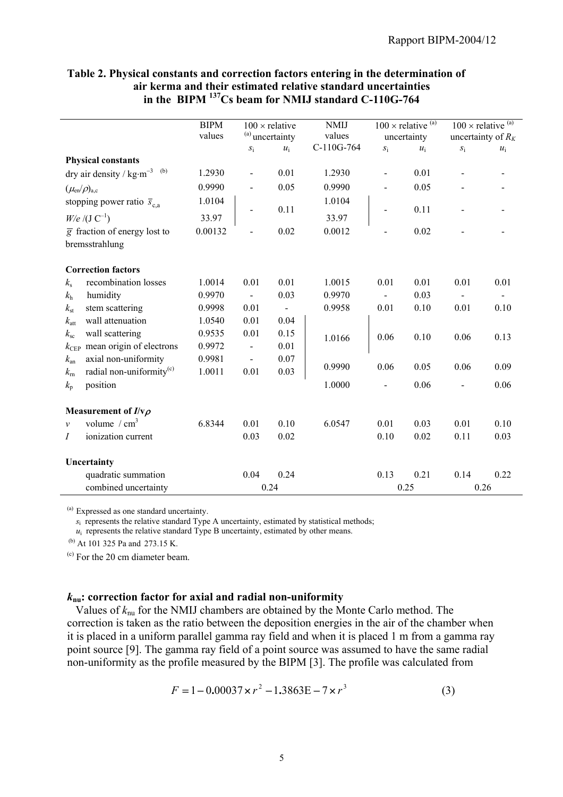|                                      |                                                                | <b>BIPM</b><br>values | $S_1$                        | $100 \times$ relative<br><sup>(a)</sup> uncertainty<br>$u_i$ | <b>NMIJ</b><br>values<br>C-110G-764 | $S_{\rm i}$ | $100 \times$ relative $\overline{^{(a)}}$<br>uncertainty<br>$u_i$ | $S_1^{\cdot}$ | $100 \times$ relative $\overline{^{(a)}}$<br>uncertainty of $R_K$<br>$u_i$ |
|--------------------------------------|----------------------------------------------------------------|-----------------------|------------------------------|--------------------------------------------------------------|-------------------------------------|-------------|-------------------------------------------------------------------|---------------|----------------------------------------------------------------------------|
| <b>Physical constants</b>            |                                                                |                       |                              |                                                              |                                     |             |                                                                   |               |                                                                            |
|                                      | dry air density / $\text{kg}\cdot\text{m}^{-3}$ <sup>(b)</sup> | 1.2930                | $\qquad \qquad \blacksquare$ | 0.01                                                         | 1.2930                              |             | 0.01                                                              |               |                                                                            |
| $(\mu_{\rm en}/\rho)_{\rm a.c}$      |                                                                | 0.9990                |                              | 0.05                                                         | 0.9990                              |             | 0.05                                                              |               |                                                                            |
| stopping power ratio $\bar{s}_{c,a}$ |                                                                | 1.0104                |                              |                                                              | 1.0104                              |             |                                                                   |               |                                                                            |
| $W/e / (J C^{-1})$                   |                                                                | 33.97                 | $\overline{\phantom{a}}$     | 0.11                                                         | 33.97                               |             | 0.11                                                              |               |                                                                            |
| bremsstrahlung                       | $\overline{g}$ fraction of energy lost to                      | 0.00132               |                              | 0.02                                                         | 0.0012                              |             | 0.02                                                              |               |                                                                            |
| <b>Correction factors</b>            |                                                                |                       |                              |                                                              |                                     |             |                                                                   |               |                                                                            |
| $k_{\rm s}$                          | recombination losses                                           | 1.0014                | 0.01                         | 0.01                                                         | 1.0015                              | 0.01        | 0.01                                                              | 0.01          | 0.01                                                                       |
| humidity<br>$k_{\rm h}$              |                                                                | 0.9970                |                              | 0.03                                                         | 0.9970                              |             | 0.03                                                              |               |                                                                            |
| $k_{\rm st}$                         | stem scattering                                                | 0.9998                | 0.01                         | $\overline{\phantom{0}}$                                     | 0.9958                              | 0.01        | 0.10                                                              | 0.01          | 0.10                                                                       |
| $k_{\rm att}$                        | wall attenuation                                               | 1.0540                | 0.01                         | 0.04                                                         |                                     |             |                                                                   |               |                                                                            |
| wall scattering<br>$k_{\rm sc}$      |                                                                | 0.9535                | 0.01                         | 0.15                                                         | 1.0166                              | 0.06        | 0.10                                                              | 0.06          | 0.13                                                                       |
| $k_{\rm CEP}$                        | mean origin of electrons                                       | 0.9972                |                              | 0.01                                                         |                                     |             |                                                                   |               |                                                                            |
| $k_{\rm an}$                         | axial non-uniformity                                           | 0.9981                | $\overline{\phantom{a}}$     | 0.07                                                         | 0.9990                              | 0.06        | 0.05                                                              | 0.06          | 0.09                                                                       |
| $k_{\rm rh}$                         | radial non-uniformity <sup>(c)</sup>                           | 1.0011                | 0.01                         | 0.03                                                         |                                     |             |                                                                   |               |                                                                            |
| position<br>$k_{p}$                  |                                                                |                       |                              |                                                              | 1.0000                              |             | 0.06                                                              |               | 0.06                                                                       |
| Measurement of $I/v\rho$             |                                                                |                       |                              |                                                              |                                     |             |                                                                   |               |                                                                            |
| volume / $cm3$<br>$\mathcal{V}$      |                                                                | 6.8344                | 0.01                         | 0.10                                                         | 6.0547                              | 0.01        | 0.03                                                              | 0.01          | 0.10                                                                       |
| I                                    | ionization current                                             |                       | 0.03                         | 0.02                                                         |                                     | 0.10        | 0.02                                                              | 0.11          | 0.03                                                                       |
| Uncertainty                          |                                                                |                       |                              |                                                              |                                     |             |                                                                   |               |                                                                            |
|                                      | quadratic summation                                            |                       | 0.04                         | 0.24                                                         |                                     | 0.13        | 0.21                                                              | 0.14          | 0.22                                                                       |
|                                      | combined uncertainty                                           |                       |                              | 0.24                                                         |                                     |             | 0.25                                                              |               | 0.26                                                                       |

#### **Table 2. Physical constants and correction factors entering in the determination of air kerma and their estimated relative standard uncertainties in the BIPM 137Cs beam for NMIJ standard C-110G-764**

(a) Expressed as one standard uncertainty.

 *s*i represents the relative standard Type A uncertainty, estimated by statistical methods;

 $u_i$  represents the relative standard Type B uncertainty, estimated by other means.

(b) At 101 325 Pa and 273.15 K.

(c) For the 20 cm diameter beam.

#### *k***nu: correction factor for axial and radial non-uniformity**

Values of  $k_{\text{nu}}$  for the NMIJ chambers are obtained by the Monte Carlo method. The correction is taken as the ratio between the deposition energies in the air of the chamber when it is placed in a uniform parallel gamma ray field and when it is placed 1 m from a gamma ray point source [9]. The gamma ray field of a point source was assumed to have the same radial non-uniformity as the profile measured by the BIPM [3]. The profile was calculated from

$$
F = 1 - 0.00037 \times r^2 - 1.3863E - 7 \times r^3
$$
 (3)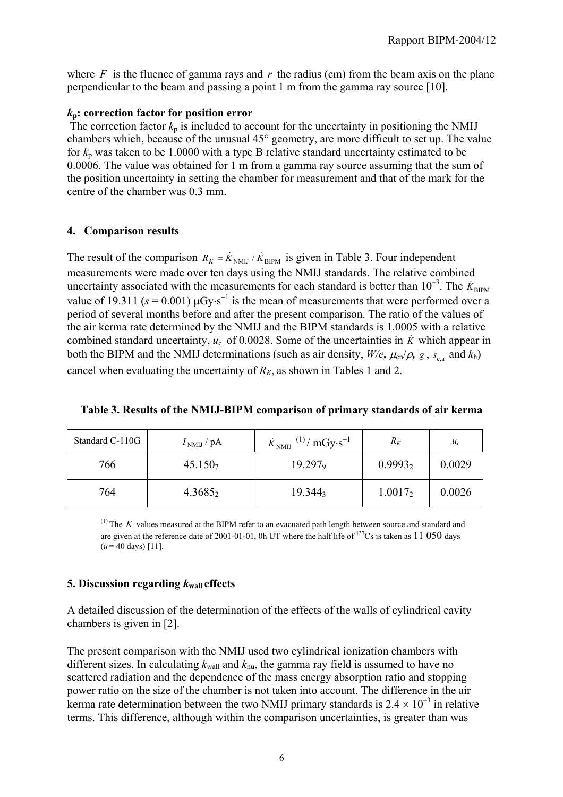where  $F$  is the fluence of gamma rays and  $r$  the radius (cm) from the beam axis on the plane perpendicular to the beam and passing a point 1 m from the gamma ray source [10].

#### *k***p: correction factor for position error**

The correction factor  $k_p$  is included to account for the uncertainty in positioning the NMIJ chambers which, because of the unusual 45° geometry, are more difficult to set up. The value for  $k_p$  was taken to be 1.0000 with a type B relative standard uncertainty estimated to be 0.0006. The value was obtained for 1 m from a gamma ray source assuming that the sum of the position uncertainty in setting the chamber for measurement and that of the mark for the centre of the chamber was 0.3 mm.

### **4. Comparison results**

The result of the comparison  $R_K = \dot{K}_{\text{NMI}} / \dot{K}_{\text{BIPM}}$  is given in Table 3. Four independent measurements were made over ten days using the NMIJ standards. The relative combined uncertainty associated with the measurements for each standard is better than  $10^{-3}$ . The  $\dot{K}_{\text{BIPM}}$ value of 19.311 ( $s = 0.001$ )  $\mu$ Gy⋅s<sup>-1</sup> is the mean of measurements that were performed over a period of several months before and after the present comparison. The ratio of the values of the air kerma rate determined by the NMIJ and the BIPM standards is 1.0005 with a relative combined standard uncertainty,  $u_c$  of 0.0028. Some of the uncertainties in  $\dot{K}$  which appear in both the BIPM and the NMIJ determinations (such as air density,  $W/e$ ,  $\mu_{en}/\rho$ ,  $\bar{g}$ ,  $\bar{s}_{cs}$  and  $k_h$ ) cancel when evaluating the uncertainty of  $R_K$ , as shown in Tables 1 and 2.

| Table 3. Results of the NMIJ-BIPM comparison of primary standards of air kerma |  |  |
|--------------------------------------------------------------------------------|--|--|
|                                                                                |  |  |

| Standard C-110G | $INMIJ$ / pA        | $\dot{K}_{\text{NMI}}^{(1)}/\text{mGy·s}^{-1}$ | $R_K$      | $u_{c}$ |
|-----------------|---------------------|------------------------------------------------|------------|---------|
| 766             | 45.150 <sub>7</sub> | $19.297$ <sub>9</sub>                          | $0.9993_2$ | 0.0029  |
| 764             | $4.3685_2$          | $19.344_3$                                     | $1.0017_2$ | 0.0026  |

<sup>(1)</sup> The  $\dot{K}$  values measured at the BIPM refer to an evacuated path length between source and standard and are given at the reference date of 2001-01-01, 0h UT where the half life of  $137Cs$  is taken as 11 050 days  $(u = 40 \text{ days})$  [11].

## **5. Discussion regarding**  $k_{\text{wall}}$  **effects**

A detailed discussion of the determination of the effects of the walls of cylindrical cavity chambers is given in [2].

The present comparison with the NMIJ used two cylindrical ionization chambers with different sizes. In calculating  $k_{\text{wall}}$  and  $k_{\text{nu}}$ , the gamma ray field is assumed to have no scattered radiation and the dependence of the mass energy absorption ratio and stopping power ratio on the size of the chamber is not taken into account. The difference in the air kerma rate determination between the two NMIJ primary standards is  $2.4 \times 10^{-3}$  in relative terms. This difference, although within the comparison uncertainties, is greater than was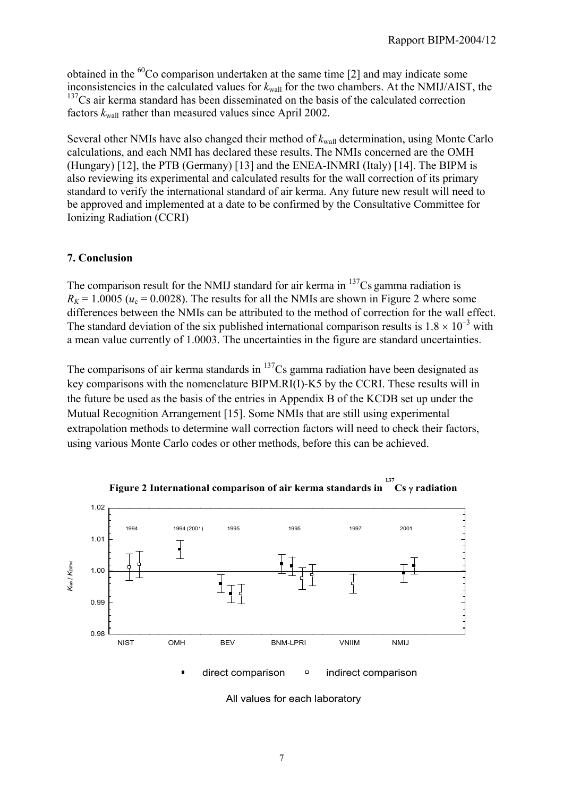obtained in the  ${}^{60}$ Co comparison undertaken at the same time [2] and may indicate some inconsistencies in the calculated values for  $k_{wall}$  for the two chambers. At the NMIJ/AIST, the <sup>137</sup>Cs air kerma standard has been disseminated on the basis of the calculated correction factors  $k_{\text{wall}}$  rather than measured values since April 2002.

Several other NMIs have also changed their method of  $k_{wall}$  determination, using Monte Carlo calculations, and each NMI has declared these results. The NMIs concerned are the OMH (Hungary) [12], the PTB (Germany) [13] and the ENEA-INMRI (Italy) [14]. The BIPM is also reviewing its experimental and calculated results for the wall correction of its primary standard to verify the international standard of air kerma. Any future new result will need to be approved and implemented at a date to be confirmed by the Consultative Committee for Ionizing Radiation (CCRI)

### **7. Conclusion**

The comparison result for the NMIJ standard for air kerma in  $137Cs$  gamma radiation is  $R_K$  = 1.0005 ( $u_c$  = 0.0028). The results for all the NMIs are shown in Figure 2 where some differences between the NMIs can be attributed to the method of correction for the wall effect. The standard deviation of the six published international comparison results is  $1.8 \times 10^{-3}$  with a mean value currently of 1.0003. The uncertainties in the figure are standard uncertainties.

The comparisons of air kerma standards in  $137Cs$  gamma radiation have been designated as key comparisons with the nomenclature BIPM.RI(I)-K5 by the CCRI. These results will in the future be used as the basis of the entries in Appendix B of the KCDB set up under the Mutual Recognition Arrangement [15]. Some NMIs that are still using experimental extrapolation methods to determine wall correction factors will need to check their factors, using various Monte Carlo codes or other methods, before this can be achieved.



**Figure 2 International comparison of air kerma standards in <sup>137</sup> Cs** γ **radiation**

All values for each laboratory